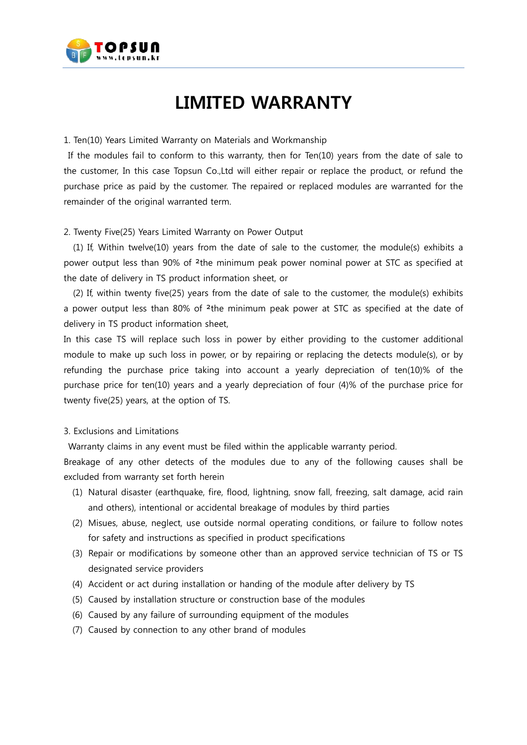

# **LIMITED WARRANTY**

## 1. Ten(10) Years Limited Warranty on Materials and Workmanship

If the modules fail to conform to this warranty, then for Ten(10) years from the date of sale to the customer, In this case Topsun Co.,Ltd will either repair or replace the product, or refund the purchase price as paid by the customer. The repaired or replaced modules are warranted for the remainder of the original warranted term.

## 2. Twenty Five(25) Years Limited Warranty on Power Output

(1) If, Within twelve(10) years from the date of sale to the customer, the module(s) exhibits a power output less than 90% of ²the minimum peak power nominal power at STC as specified at the date of delivery in TS product information sheet, or

(2) If, within twenty five(25) years from the date of sale to the customer, the module(s) exhibits a power output less than 80% of <sup>2</sup>the minimum peak power at STC as specified at the date of delivery in TS product information sheet,

In this case TS will replace such loss in power by either providing to the customer additional module to make up such loss in power, or by repairing or replacing the detects module(s), or by refunding the purchase price taking into account a yearly depreciation of ten(10)% of the purchase price for ten(10) years and a yearly depreciation of four (4)% of the purchase price for twenty five(25) years, at the option of TS.

#### 3. Exclusions and Limitations

Warranty claims in any event must be filed within the applicable warranty period.

Breakage of any other detects of the modules due to any of the following causes shall be excluded from warranty set forth herein

- (1) Natural disaster (earthquake, fire, flood, lightning, snow fall, freezing, salt damage, acid rain and others), intentional or accidental breakage of modules by third parties
- (2) Misues, abuse, neglect, use outside normal operating conditions, or failure to follow notes for safety and instructions as specified in product specifications
- (3) Repair or modifications by someone other than an approved service technician of TS or TS designated service providers
- (4) Accident or act during installation or handing of the module after delivery by TS
- (5) Caused by installation structure or construction base of the modules
- (6) Caused by any failure of surrounding equipment of the modules
- (7) Caused by connection to any other brand of modules